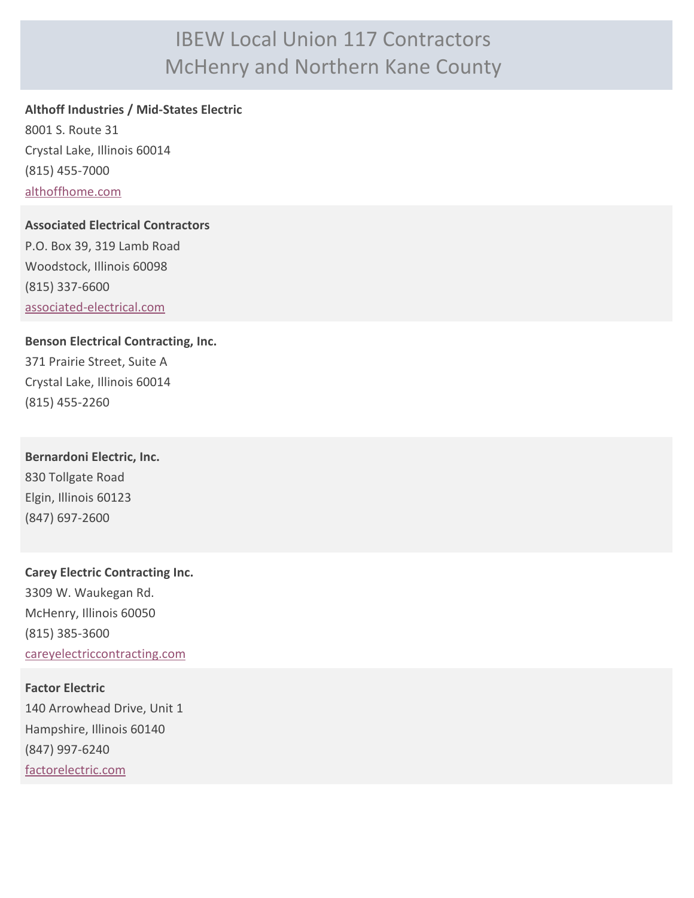# IBEW Local Union 117 Contractors McHenry and Northern Kane County

### **Althoff Industries / Mid-States Electric**

8001 S. Route 31 Crystal Lake, Illinois 60014 (815) 455-7000 [althoffhome.com](http://althoffhome.com)

#### **Associated Electrical Contractors**

P.O. Box 39, 319 Lamb Road Woodstock, Illinois 60098 (815) 337-6600 [associated-electrical.com](http://associated-electrical.com)

## **Benson Electrical Contracting, Inc.**

371 Prairie Street, Suite A Crystal Lake, Illinois 60014 (815) 455-2260

**Bernardoni Electric, Inc.** 830 Tollgate Road Elgin, Illinois 60123 (847) 697-2600

**Carey Electric Contracting Inc.** 3309 W. Waukegan Rd. McHenry, Illinois 60050 (815) 385-3600 [careyelectriccontracting.com](http://careyelectriccontracting.com)

**Factor Electric** 140 Arrowhead Drive, Unit 1 Hampshire, Illinois 60140 (847) 997-6240 [factorelectric.com](http://factorelectric.com)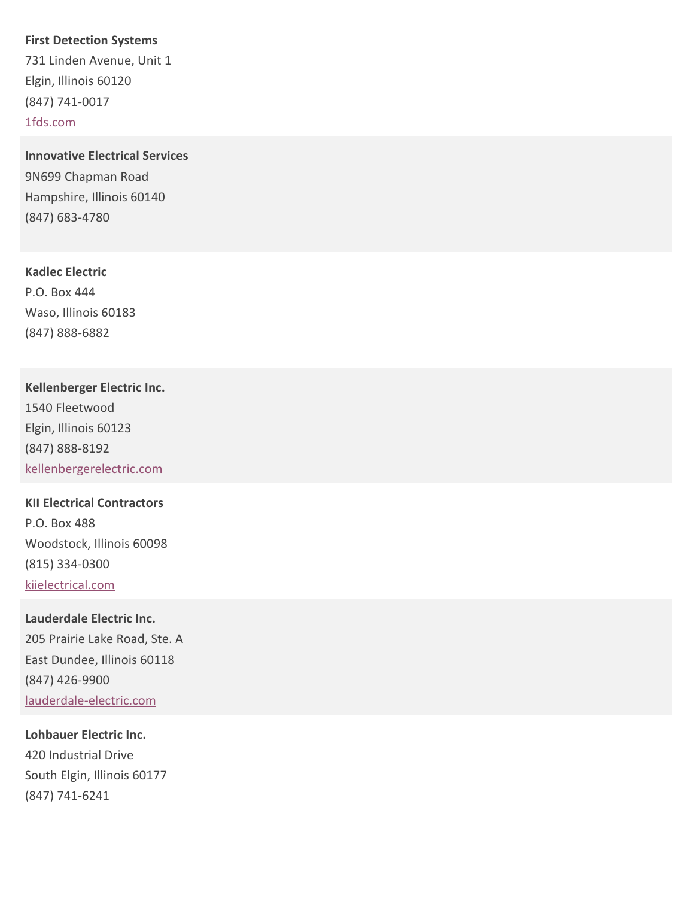#### **First Detection Systems**

731 Linden Avenue, Unit 1 Elgin, Illinois 60120 (847) 741-0017 [1fds.com](http://1fds.com)

**Innovative Electrical Services** 9N699 Chapman Road Hampshire, Illinois 60140 (847) 683-4780

#### **Kadlec Electric**

P.O. Box 444 Waso, Illinois 60183 (847) 888-6882

## **Kellenberger Electric Inc.**

1540 Fleetwood Elgin, Illinois 60123 (847) 888-8192 [kellenbergerelectric.com](http://kellenbergerelectric.com)

# **KII Electrical Contractors** P.O. Box 488 Woodstock, Illinois 60098 (815) 334-0300 [kiielectrical.com](http://kiielectrical.com)

# **Lauderdale Electric Inc.** 205 Prairie Lake Road, Ste. A East Dundee, Illinois 60118 (847) 426-9900 [lauderdale-electric.com](http://lauderdale-electric.com)

## **Lohbauer Electric Inc.** 420 Industrial Drive South Elgin, Illinois 60177

(847) 741-6241